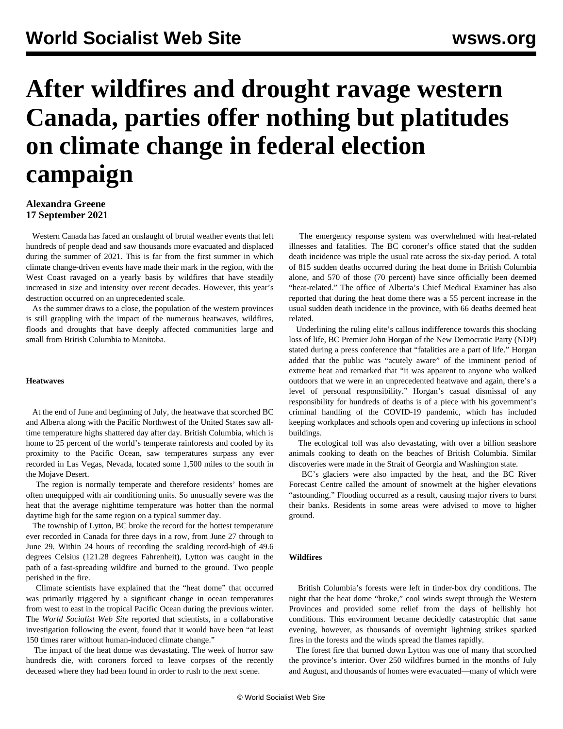# **After wildfires and drought ravage western Canada, parties offer nothing but platitudes on climate change in federal election campaign**

### **Alexandra Greene 17 September 2021**

 Western Canada has faced an onslaught of brutal weather events that left hundreds of people dead and saw thousands more evacuated and displaced during the summer of 2021. This is far from the first summer in which climate change-driven events have made their mark in the region, with the West Coast ravaged on a yearly basis by wildfires that have steadily increased in size and intensity over recent decades. However, this year's destruction occurred on an unprecedented scale.

 As the summer draws to a close, the population of the western provinces is still grappling with the impact of the numerous heatwaves, wildfires, floods and droughts that have deeply affected communities large and small from British Columbia to Manitoba.

#### **Heatwaves**

 At the end of June and beginning of July, the heatwave that scorched BC and Alberta along with the Pacific Northwest of the United States saw alltime temperature highs shattered day after day. British Columbia, which is home to 25 percent of the world's temperate rainforests and cooled by its proximity to the Pacific Ocean, saw temperatures surpass any ever recorded in Las Vegas, Nevada, located some 1,500 miles to the south in the Mojave Desert.

 The region is normally temperate and therefore residents' homes are often unequipped with air conditioning units. So unusually severe was the heat that the average nighttime temperature was hotter than the normal daytime high for the same region on a typical summer day.

 The township of Lytton, BC broke the record for the hottest temperature ever recorded in Canada for three days in a row, from June 27 through to June 29. Within 24 hours of recording the scalding record-high of 49.6 degrees Celsius (121.28 degrees Fahrenheit), Lytton was caught in the path of a fast-spreading wildfire and burned to the ground. Two people perished in the fire.

 Climate scientists have explained that the "heat dome" that occurred was primarily triggered by a significant change in ocean temperatures from west to east in the tropical Pacific Ocean during the previous winter. The *World Socialist Web Site* reported that scientists, in a collaborative investigation following the event, found that it would have been "at least 150 times rarer without human-induced climate change."

 The impact of the heat dome was devastating. The week of horror saw hundreds die, with coroners forced to leave corpses of the recently deceased where they had been found in order to rush to the next scene.

 The emergency response system was overwhelmed with heat-related illnesses and fatalities. The BC coroner's office stated that the sudden death incidence was triple the usual rate across the six-day period. A total of 815 sudden deaths occurred during the heat dome in British Columbia alone, and 570 of those (70 percent) have since officially been deemed "heat-related." The office of Alberta's Chief Medical Examiner has also reported that during the heat dome there was a 55 percent increase in the usual sudden death incidence in the province, with 66 deaths deemed heat related.

 Underlining the ruling elite's callous indifference towards this shocking loss of life, BC Premier John Horgan of the New Democratic Party (NDP) stated during a press conference that "fatalities are a part of life." Horgan added that the public was "acutely aware" of the imminent period of extreme heat and remarked that "it was apparent to anyone who walked outdoors that we were in an unprecedented heatwave and again, there's a level of personal responsibility." Horgan's casual dismissal of any responsibility for hundreds of deaths is of a piece with his government's criminal handling of the COVID-19 pandemic, which has included keeping workplaces and schools open and covering up infections in school buildings.

 The ecological toll was also devastating, with over a billion seashore animals cooking to death on the beaches of British Columbia. Similar discoveries were made in the Strait of Georgia and Washington state.

 BC's glaciers were also impacted by the heat, and the BC River Forecast Centre called the amount of snowmelt at the higher elevations "astounding." Flooding occurred as a result, causing major rivers to burst their banks. Residents in some areas were advised to move to higher ground.

#### **Wildfires**

 British Columbia's forests were left in tinder-box dry conditions. The night that the heat dome "broke," cool winds swept through the Western Provinces and provided some relief from the days of hellishly hot conditions. This environment became decidedly catastrophic that same evening, however, as thousands of overnight lightning strikes sparked fires in the forests and the winds spread the flames rapidly.

 The forest fire that burned down Lytton was one of many that scorched the province's interior. Over 250 wildfires burned in the months of July and August, and thousands of homes were evacuated—many of which were